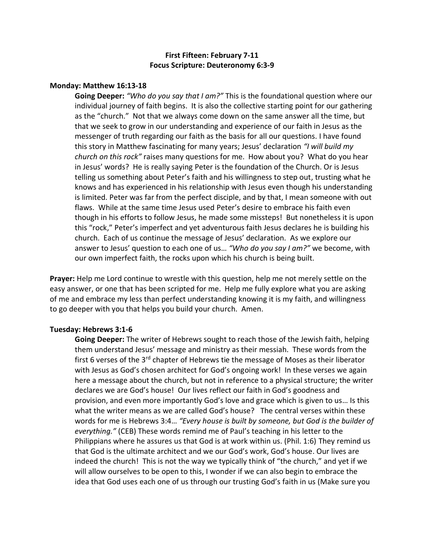# **First Fifteen: February 7-11 Focus Scripture: Deuteronomy 6:3-9**

#### **Monday: Matthew 16:13-18**

**Going Deeper:** *"Who do you say that I am?"* This is the foundational question where our individual journey of faith begins. It is also the collective starting point for our gathering as the "church." Not that we always come down on the same answer all the time, but that we seek to grow in our understanding and experience of our faith in Jesus as the messenger of truth regarding our faith as the basis for all our questions. I have found this story in Matthew fascinating for many years; Jesus' declaration *"I will build my church on this rock"* raises many questions for me. How about you? What do you hear in Jesus' words? He is really saying Peter is the foundation of the Church. Or is Jesus telling us something about Peter's faith and his willingness to step out, trusting what he knows and has experienced in his relationship with Jesus even though his understanding is limited. Peter was far from the perfect disciple, and by that, I mean someone with out flaws. While at the same time Jesus used Peter's desire to embrace his faith even though in his efforts to follow Jesus, he made some missteps! But nonetheless it is upon this "rock," Peter's imperfect and yet adventurous faith Jesus declares he is building his church. Each of us continue the message of Jesus' declaration. As we explore our answer to Jesus' question to each one of us… *"Who do you say I am?"* we become, with our own imperfect faith, the rocks upon which his church is being built.

**Prayer:** Help me Lord continue to wrestle with this question, help me not merely settle on the easy answer, or one that has been scripted for me. Help me fully explore what you are asking of me and embrace my less than perfect understanding knowing it is my faith, and willingness to go deeper with you that helps you build your church. Amen.

#### **Tuesday: Hebrews 3:1-6**

**Going Deeper:** The writer of Hebrews sought to reach those of the Jewish faith, helping them understand Jesus' message and ministry as their messiah. These words from the first 6 verses of the 3<sup>rd</sup> chapter of Hebrews tie the message of Moses as their liberator with Jesus as God's chosen architect for God's ongoing work! In these verses we again here a message about the church, but not in reference to a physical structure; the writer declares we are God's house! Our lives reflect our faith in God's goodness and provision, and even more importantly God's love and grace which is given to us… Is this what the writer means as we are called God's house? The central verses within these words for me is Hebrews 3:4… *"Every house is built by someone, but God is the builder of everything."* (CEB) These words remind me of Paul's teaching in his letter to the Philippians where he assures us that God is at work within us. (Phil. 1:6) They remind us that God is the ultimate architect and we our God's work, God's house. Our lives are indeed the church! This is not the way we typically think of "the church," and yet if we will allow ourselves to be open to this, I wonder if we can also begin to embrace the idea that God uses each one of us through our trusting God's faith in us (Make sure you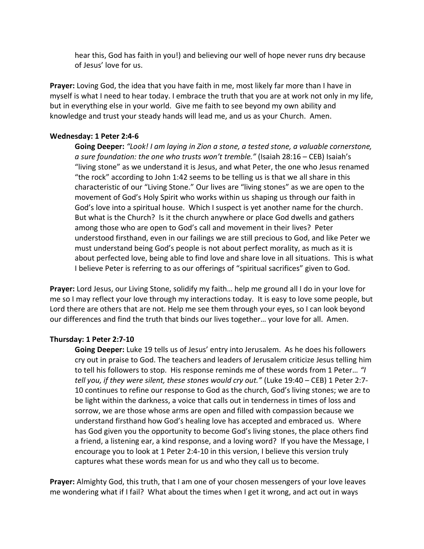hear this, God has faith in you!) and believing our well of hope never runs dry because of Jesus' love for us.

**Prayer:** Loving God, the idea that you have faith in me, most likely far more than I have in myself is what I need to hear today. I embrace the truth that you are at work not only in my life, but in everything else in your world. Give me faith to see beyond my own ability and knowledge and trust your steady hands will lead me, and us as your Church. Amen.

## **Wednesday: 1 Peter 2:4-6**

**Going Deeper:** *"Look! I am laying in Zion a stone, a tested stone, a valuable cornerstone, a sure foundation: the one who trusts won't tremble."* (Isaiah 28:16 – CEB) Isaiah's "living stone" as we understand it is Jesus, and what Peter, the one who Jesus renamed "the rock" according to John 1:42 seems to be telling us is that we all share in this characteristic of our "Living Stone." Our lives are "living stones" as we are open to the movement of God's Holy Spirit who works within us shaping us through our faith in God's love into a spiritual house. Which I suspect is yet another name for the church. But what is the Church? Is it the church anywhere or place God dwells and gathers among those who are open to God's call and movement in their lives? Peter understood firsthand, even in our failings we are still precious to God, and like Peter we must understand being God's people is not about perfect morality, as much as it is about perfected love, being able to find love and share love in all situations. This is what I believe Peter is referring to as our offerings of "spiritual sacrifices" given to God.

**Prayer:** Lord Jesus, our Living Stone, solidify my faith… help me ground all I do in your love for me so I may reflect your love through my interactions today. It is easy to love some people, but Lord there are others that are not. Help me see them through your eyes, so I can look beyond our differences and find the truth that binds our lives together… your love for all. Amen.

## **Thursday: 1 Peter 2:7-10**

**Going Deeper:** Luke 19 tells us of Jesus' entry into Jerusalem. As he does his followers cry out in praise to God. The teachers and leaders of Jerusalem criticize Jesus telling him to tell his followers to stop. His response reminds me of these words from 1 Peter… *"I tell you, if they were silent, these stones would cry out."* (Luke 19:40 – CEB) 1 Peter 2:7- 10 continues to refine our response to God as the church, God's living stones; we are to be light within the darkness, a voice that calls out in tenderness in times of loss and sorrow, we are those whose arms are open and filled with compassion because we understand firsthand how God's healing love has accepted and embraced us. Where has God given you the opportunity to become God's living stones, the place others find a friend, a listening ear, a kind response, and a loving word? If you have the Message, I encourage you to look at 1 Peter 2:4-10 in this version, I believe this version truly captures what these words mean for us and who they call us to become.

**Prayer:** Almighty God, this truth, that I am one of your chosen messengers of your love leaves me wondering what if I fail? What about the times when I get it wrong, and act out in ways